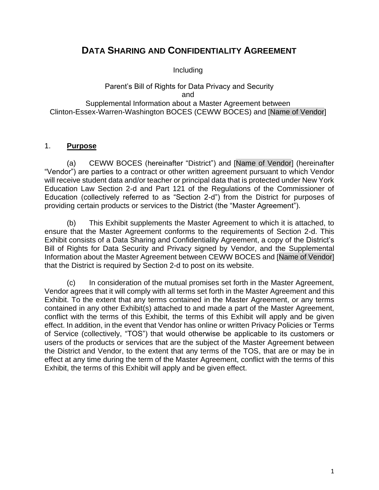# **DATA SHARING AND CONFIDENTIALITY AGREEMENT**

Including

#### Parent's Bill of Rights for Data Privacy and Security and Supplemental Information about a Master Agreement between Clinton-Essex-Warren-Washington BOCES (CEWW BOCES) and [Name of Vendor]

### 1. **Purpose**

(a) CEWW BOCES (hereinafter "District") and [Name of Vendor] (hereinafter "Vendor") are parties to a contract or other written agreement pursuant to which Vendor will receive student data and/or teacher or principal data that is protected under New York Education Law Section 2-d and Part 121 of the Regulations of the Commissioner of Education (collectively referred to as "Section 2-d") from the District for purposes of providing certain products or services to the District (the "Master Agreement").

(b) This Exhibit supplements the Master Agreement to which it is attached, to ensure that the Master Agreement conforms to the requirements of Section 2-d. This Exhibit consists of a Data Sharing and Confidentiality Agreement, a copy of the District's Bill of Rights for Data Security and Privacy signed by Vendor, and the Supplemental Information about the Master Agreement between CEWW BOCES and [Name of Vendor] that the District is required by Section 2-d to post on its website.

(c) In consideration of the mutual promises set forth in the Master Agreement, Vendor agrees that it will comply with all terms set forth in the Master Agreement and this Exhibit. To the extent that any terms contained in the Master Agreement, or any terms contained in any other Exhibit(s) attached to and made a part of the Master Agreement, conflict with the terms of this Exhibit, the terms of this Exhibit will apply and be given effect. In addition, in the event that Vendor has online or written Privacy Policies or Terms of Service (collectively, "TOS") that would otherwise be applicable to its customers or users of the products or services that are the subject of the Master Agreement between the District and Vendor, to the extent that any terms of the TOS, that are or may be in effect at any time during the term of the Master Agreement, conflict with the terms of this Exhibit, the terms of this Exhibit will apply and be given effect.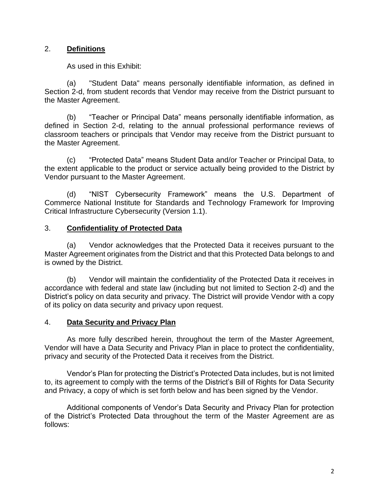### 2. **Definitions**

As used in this Exhibit:

(a) "Student Data" means personally identifiable information, as defined in Section 2-d, from student records that Vendor may receive from the District pursuant to the Master Agreement.

(b) "Teacher or Principal Data" means personally identifiable information, as defined in Section 2-d, relating to the annual professional performance reviews of classroom teachers or principals that Vendor may receive from the District pursuant to the Master Agreement.

(c) "Protected Data" means Student Data and/or Teacher or Principal Data, to the extent applicable to the product or service actually being provided to the District by Vendor pursuant to the Master Agreement.

(d) "NIST Cybersecurity Framework" means the U.S. Department of Commerce National Institute for Standards and Technology Framework for Improving Critical Infrastructure Cybersecurity (Version 1.1).

#### 3. **Confidentiality of Protected Data**

(a) Vendor acknowledges that the Protected Data it receives pursuant to the Master Agreement originates from the District and that this Protected Data belongs to and is owned by the District.

(b) Vendor will maintain the confidentiality of the Protected Data it receives in accordance with federal and state law (including but not limited to Section 2-d) and the District's policy on data security and privacy. The District will provide Vendor with a copy of its policy on data security and privacy upon request.

#### 4. **Data Security and Privacy Plan**

As more fully described herein, throughout the term of the Master Agreement, Vendor will have a Data Security and Privacy Plan in place to protect the confidentiality, privacy and security of the Protected Data it receives from the District.

Vendor's Plan for protecting the District's Protected Data includes, but is not limited to, its agreement to comply with the terms of the District's Bill of Rights for Data Security and Privacy, a copy of which is set forth below and has been signed by the Vendor.

Additional components of Vendor's Data Security and Privacy Plan for protection of the District's Protected Data throughout the term of the Master Agreement are as follows: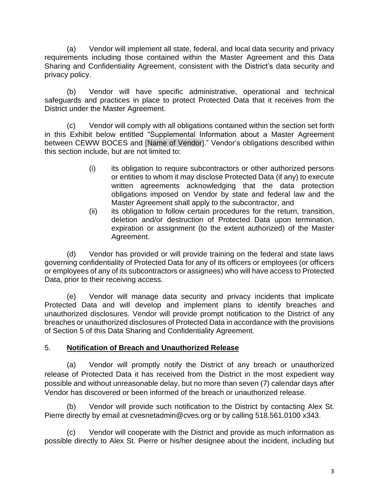(a) Vendor will implement all state, federal, and local data security and privacy requirements including those contained within the Master Agreement and this Data Sharing and Confidentiality Agreement, consistent with the District's data security and privacy policy.

(b) Vendor will have specific administrative, operational and technical safeguards and practices in place to protect Protected Data that it receives from the District under the Master Agreement.

(c) Vendor will comply with all obligations contained within the section set forth in this Exhibit below entitled "Supplemental Information about a Master Agreement between CEWW BOCES and [Name of Vendor]." Vendor's obligations described within this section include, but are not limited to:

- (i) its obligation to require subcontractors or other authorized persons or entities to whom it may disclose Protected Data (if any) to execute written agreements acknowledging that the data protection obligations imposed on Vendor by state and federal law and the Master Agreement shall apply to the subcontractor, and
- (ii) its obligation to follow certain procedures for the return, transition, deletion and/or destruction of Protected Data upon termination, expiration or assignment (to the extent authorized) of the Master Agreement.

(d) Vendor has provided or will provide training on the federal and state laws governing confidentiality of Protected Data for any of its officers or employees (or officers or employees of any of its subcontractors or assignees) who will have access to Protected Data, prior to their receiving access.

(e) Vendor will manage data security and privacy incidents that implicate Protected Data and will develop and implement plans to identify breaches and unauthorized disclosures. Vendor will provide prompt notification to the District of any breaches or unauthorized disclosures of Protected Data in accordance with the provisions of Section 5 of this Data Sharing and Confidentiality Agreement.

### 5. **Notification of Breach and Unauthorized Release**

(a) Vendor will promptly notify the District of any breach or unauthorized release of Protected Data it has received from the District in the most expedient way possible and without unreasonable delay, but no more than seven (7) calendar days after Vendor has discovered or been informed of the breach or unauthorized release.

(b) Vendor will provide such notification to the District by contacting Alex St. Pierre directly by email at cvesnetadmin@cves.org or by calling 518.561.0100 x343.

(c) Vendor will cooperate with the District and provide as much information as possible directly to Alex St. Pierre or his/her designee about the incident, including but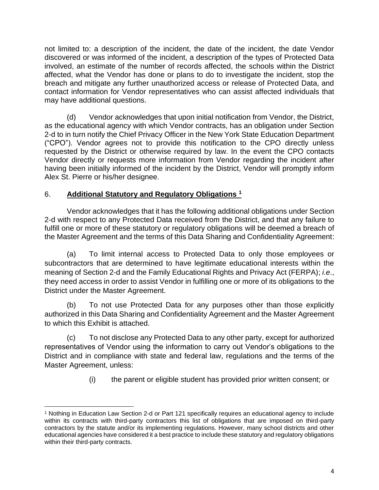not limited to: a description of the incident, the date of the incident, the date Vendor discovered or was informed of the incident, a description of the types of Protected Data involved, an estimate of the number of records affected, the schools within the District affected, what the Vendor has done or plans to do to investigate the incident, stop the breach and mitigate any further unauthorized access or release of Protected Data, and contact information for Vendor representatives who can assist affected individuals that may have additional questions.

(d) Vendor acknowledges that upon initial notification from Vendor, the District, as the educational agency with which Vendor contracts, has an obligation under Section 2-d to in turn notify the Chief Privacy Officer in the New York State Education Department ("CPO"). Vendor agrees not to provide this notification to the CPO directly unless requested by the District or otherwise required by law. In the event the CPO contacts Vendor directly or requests more information from Vendor regarding the incident after having been initially informed of the incident by the District, Vendor will promptly inform Alex St. Pierre or his/her designee.

### 6. **Additional Statutory and Regulatory Obligations <sup>1</sup>**

Vendor acknowledges that it has the following additional obligations under Section 2-d with respect to any Protected Data received from the District, and that any failure to fulfill one or more of these statutory or regulatory obligations will be deemed a breach of the Master Agreement and the terms of this Data Sharing and Confidentiality Agreement:

(a) To limit internal access to Protected Data to only those employees or subcontractors that are determined to have legitimate educational interests within the meaning of Section 2-d and the Family Educational Rights and Privacy Act (FERPA); *i.e*., they need access in order to assist Vendor in fulfilling one or more of its obligations to the District under the Master Agreement.

(b) To not use Protected Data for any purposes other than those explicitly authorized in this Data Sharing and Confidentiality Agreement and the Master Agreement to which this Exhibit is attached.

(c) To not disclose any Protected Data to any other party, except for authorized representatives of Vendor using the information to carry out Vendor's obligations to the District and in compliance with state and federal law, regulations and the terms of the Master Agreement, unless:

(i) the parent or eligible student has provided prior written consent; or

<sup>1</sup> Nothing in Education Law Section 2-d or Part 121 specifically requires an educational agency to include within its contracts with third-party contractors this list of obligations that are imposed on third-party contractors by the statute and/or its implementing regulations. However, many school districts and other educational agencies have considered it a best practice to include these statutory and regulatory obligations within their third-party contracts.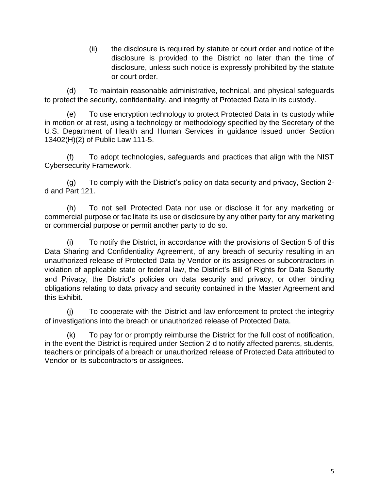(ii) the disclosure is required by statute or court order and notice of the disclosure is provided to the District no later than the time of disclosure, unless such notice is expressly prohibited by the statute or court order.

(d) To maintain reasonable administrative, technical, and physical safeguards to protect the security, confidentiality, and integrity of Protected Data in its custody.

(e) To use encryption technology to protect Protected Data in its custody while in motion or at rest, using a technology or methodology specified by the Secretary of the U.S. Department of Health and Human Services in guidance issued under Section 13402(H)(2) of Public Law 111-5.

(f) To adopt technologies, safeguards and practices that align with the NIST Cybersecurity Framework.

(g) To comply with the District's policy on data security and privacy, Section 2 d and Part 121.

(h) To not sell Protected Data nor use or disclose it for any marketing or commercial purpose or facilitate its use or disclosure by any other party for any marketing or commercial purpose or permit another party to do so.

(i) To notify the District, in accordance with the provisions of Section 5 of this Data Sharing and Confidentiality Agreement, of any breach of security resulting in an unauthorized release of Protected Data by Vendor or its assignees or subcontractors in violation of applicable state or federal law, the District's Bill of Rights for Data Security and Privacy, the District's policies on data security and privacy, or other binding obligations relating to data privacy and security contained in the Master Agreement and this Exhibit.

(j) To cooperate with the District and law enforcement to protect the integrity of investigations into the breach or unauthorized release of Protected Data.

(k) To pay for or promptly reimburse the District for the full cost of notification, in the event the District is required under Section 2-d to notify affected parents, students, teachers or principals of a breach or unauthorized release of Protected Data attributed to Vendor or its subcontractors or assignees.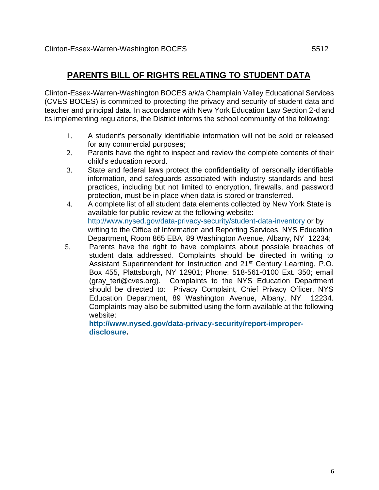# **PARENTS BILL OF RIGHTS RELATING TO STUDENT DATA**

Clinton-Essex-Warren-Washington BOCES a/k/a Champlain Valley Educational Services (CVES BOCES) is committed to protecting the privacy and security of student data and teacher and principal data. In accordance with New York Education Law Section 2-d and its implementing regulations, the District informs the school community of the following:

- 1. A student's personally identifiable information will not be sold or released for any commercial purpose**s**;
- 2. Parents have the right to inspect and review the complete contents of their child's education record.
- 3. State and federal laws protect the confidentiality of personally identifiable information, and safeguards associated with industry standards and best practices, including but not limited to encryption, firewalls, and password protection, must be in place when data is stored or transferred.
- 4. A complete list of all student data elements collected by New York State is available for public review at the following website: <http://www.nysed.gov/data-privacy-security/student-data-inventory> or by writing to the Office of Information and Reporting Services, NYS Education Department, Room 865 EBA, 89 Washington Avenue, Albany, NY 12234;
- 5. Parents have the right to have complaints about possible breaches of student data addressed. Complaints should be directed in writing to Assistant Superintendent for Instruction and 21st Century Learning, P.O. Box 455, Plattsburgh, NY 12901; Phone: 518-561-0100 Ext. 350; email (gray teri@cves.org). Complaints to the NYS Education Department should be directed to: Privacy Complaint, Chief Privacy Officer, NYS Education Department, 89 Washington Avenue, Albany, NY 12234. Complaints may also be submitted using the form available at the following website:

**[http://www.nysed.gov/data-privacy-security/report-improper](http://www.nysed.gov/data-privacy-security/report-improper-disclosure)[disclosure.](http://www.nysed.gov/data-privacy-security/report-improper-disclosure)**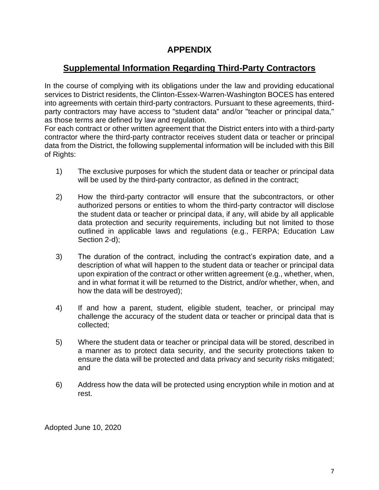# **APPENDIX**

# **Supplemental Information Regarding Third-Party Contractors**

In the course of complying with its obligations under the law and providing educational services to District residents, the Clinton-Essex-Warren-Washington BOCES has entered into agreements with certain third-party contractors. Pursuant to these agreements, thirdparty contractors may have access to "student data" and/or "teacher or principal data," as those terms are defined by law and regulation.

For each contract or other written agreement that the District enters into with a third-party contractor where the third-party contractor receives student data or teacher or principal data from the District, the following supplemental information will be included with this Bill of Rights:

- 1) The exclusive purposes for which the student data or teacher or principal data will be used by the third-party contractor, as defined in the contract;
- 2) How the third-party contractor will ensure that the subcontractors, or other authorized persons or entities to whom the third-party contractor will disclose the student data or teacher or principal data, if any, will abide by all applicable data protection and security requirements, including but not limited to those outlined in applicable laws and regulations (e.g., FERPA; Education Law Section 2-d);
- 3) The duration of the contract, including the contract's expiration date, and a description of what will happen to the student data or teacher or principal data upon expiration of the contract or other written agreement (e.g., whether, when, and in what format it will be returned to the District, and/or whether, when, and how the data will be destroyed);
- 4) If and how a parent, student, eligible student, teacher, or principal may challenge the accuracy of the student data or teacher or principal data that is collected;
- 5) Where the student data or teacher or principal data will be stored, described in a manner as to protect data security, and the security protections taken to ensure the data will be protected and data privacy and security risks mitigated; and
- 6) Address how the data will be protected using encryption while in motion and at rest.

Adopted June 10, 2020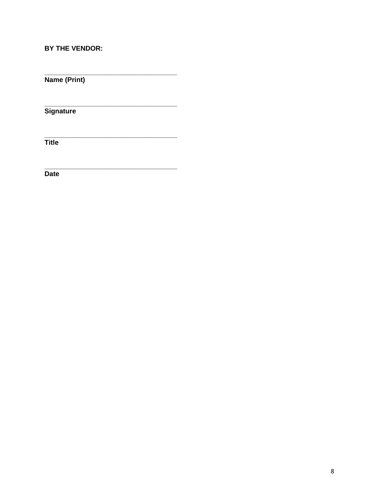### BY THE VENDOR:

Name (Print)

Signature

 $\overline{\mathsf{Title}}$ 

**Date**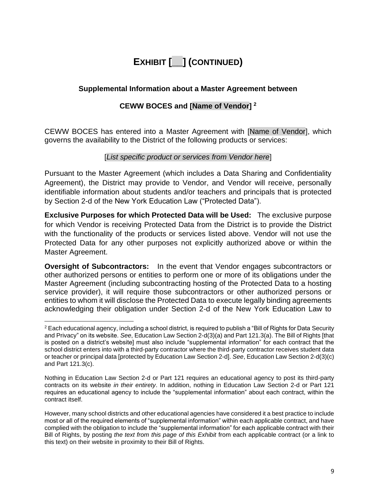# **EXHIBIT [\_\_] (CONTINUED)**

### **Supplemental Information about a Master Agreement between**

### **CEWW BOCES and [Name of Vendor] 2**

CEWW BOCES has entered into a Master Agreement with [Name of Vendor], which governs the availability to the District of the following products or services:

### [*List specific product or services from Vendor here*]

Pursuant to the Master Agreement (which includes a Data Sharing and Confidentiality Agreement), the District may provide to Vendor, and Vendor will receive, personally identifiable information about students and/or teachers and principals that is protected by Section 2-d of the New York Education Law ("Protected Data").

**Exclusive Purposes for which Protected Data will be Used:** The exclusive purpose for which Vendor is receiving Protected Data from the District is to provide the District with the functionality of the products or services listed above. Vendor will not use the Protected Data for any other purposes not explicitly authorized above or within the Master Agreement.

**Oversight of Subcontractors:** In the event that Vendor engages subcontractors or other authorized persons or entities to perform one or more of its obligations under the Master Agreement (including subcontracting hosting of the Protected Data to a hosting service provider), it will require those subcontractors or other authorized persons or entities to whom it will disclose the Protected Data to execute legally binding agreements acknowledging their obligation under Section 2-d of the New York Education Law to

<sup>2</sup> Each educational agency, including a school district, is required to publish a "Bill of Rights for Data Security and Privacy" on its website. *See*, Education Law Section 2-d(3)(a) and Part 121.3(a). The Bill of Rights [that is posted on a district's website] must also include "supplemental information" for each contract that the school district enters into with a third-party contractor where the third-party contractor receives student data or teacher or principal data [protected by Education Law Section 2-d]. *See*, Education Law Section 2-d(3)(c) and Part 121.3(c).

Nothing in Education Law Section 2-d or Part 121 requires an educational agency to post its third-party contracts on its website *in their entirety*. In addition, nothing in Education Law Section 2-d or Part 121 requires an educational agency to include the "supplemental information" about each contract, within the contract itself.

However, many school districts and other educational agencies have considered it a best practice to include most or all of the required elements of "supplemental information" within each applicable contract, and have complied with the obligation to include the "supplemental information" for each applicable contract with their Bill of Rights, by posting *the text from this page of this Exhibit* from each applicable contract (or a link to this text) on their website in proximity to their Bill of Rights.